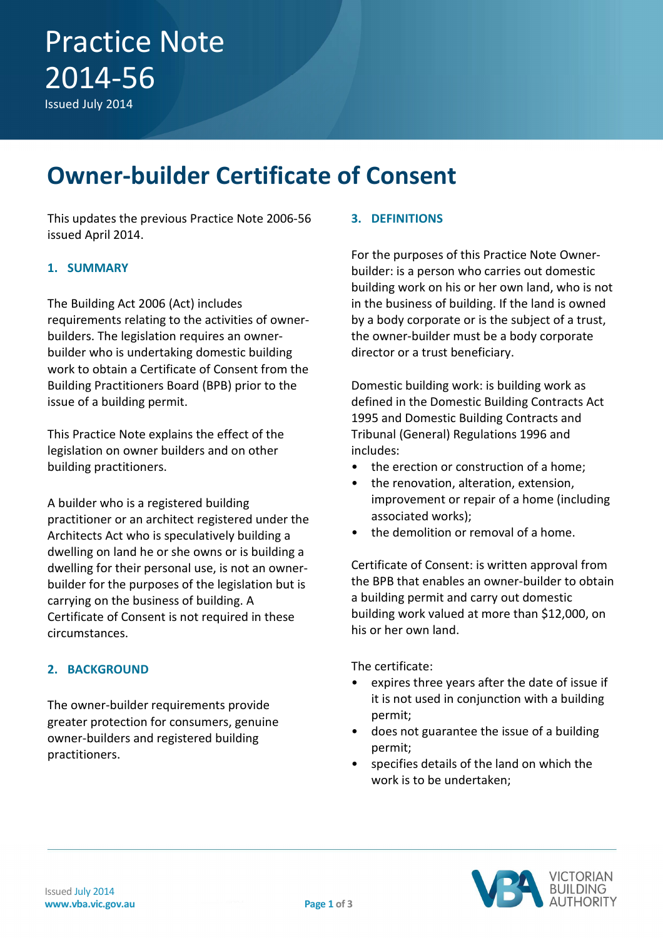Issued July 2014

### **Owner-builder Certificate of Consent**

This updates the previous Practice Note 2006-56 issued April 2014.

#### **1. SUMMARY**

The Building Act 2006 (Act) includes requirements relating to the activities of ownerbuilders. The legislation requires an ownerbuilder who is undertaking domestic building work to obtain a Certificate of Consent from the Building Practitioners Board (BPB) prior to the issue of a building permit.

This Practice Note explains the effect of the legislation on owner builders and on other building practitioners.

A builder who is a registered building practitioner or an architect registered under the Architects Act who is speculatively building a dwelling on land he or she owns or is building a dwelling for their personal use, is not an ownerbuilder for the purposes of the legislation but is carrying on the business of building. A Certificate of Consent is not required in these circumstances.

#### **2. BACKGROUND**

The owner-builder requirements provide greater protection for consumers, genuine owner-builders and registered building practitioners.

#### **3. DEFINITIONS**

For the purposes of this Practice Note Ownerbuilder: is a person who carries out domestic building work on his or her own land, who is not in the business of building. If the land is owned by a body corporate or is the subject of a trust, the owner-builder must be a body corporate director or a trust beneficiary.

Domestic building work: is building work as defined in the Domestic Building Contracts Act 1995 and Domestic Building Contracts and Tribunal (General) Regulations 1996 and includes:

- the erection or construction of a home;
- the renovation, alteration, extension, improvement or repair of a home (including associated works);
- the demolition or removal of a home.

Certificate of Consent: is written approval from the BPB that enables an owner-builder to obtain a building permit and carry out domestic building work valued at more than \$12,000, on his or her own land.

The certificate:

- expires three years after the date of issue if it is not used in conjunction with a building permit;
- does not guarantee the issue of a building permit;
- specifies details of the land on which the work is to be undertaken;

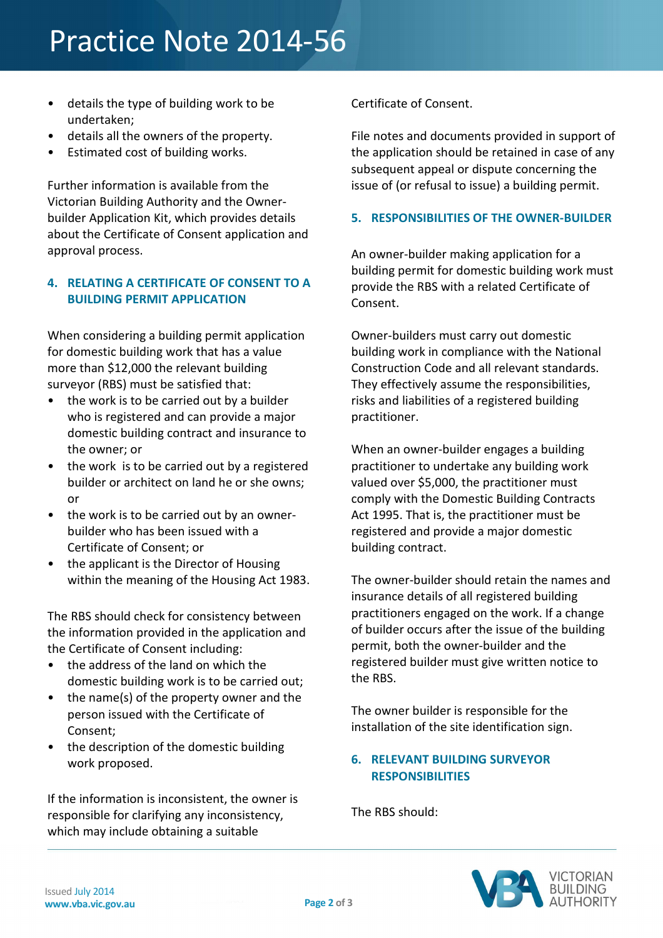# Practice Note 2014-56

- details the type of building work to be undertaken;
- details all the owners of the property.
- Estimated cost of building works.

Further information is available from the Victorian Building Authority and the Ownerbuilder Application Kit, which provides details about the Certificate of Consent application and approval process.

### **4. RELATING A CERTIFICATE OF CONSENT TO A BUILDING PERMIT APPLICATION**

When considering a building permit application for domestic building work that has a value more than \$12,000 the relevant building surveyor (RBS) must be satisfied that:

- the work is to be carried out by a builder who is registered and can provide a major domestic building contract and insurance to the owner; or
- the work is to be carried out by a registered builder or architect on land he or she owns; or
- the work is to be carried out by an ownerbuilder who has been issued with a Certificate of Consent; or
- the applicant is the Director of Housing within the meaning of the Housing Act 1983.

The RBS should check for consistency between the information provided in the application and the Certificate of Consent including:

- the address of the land on which the domestic building work is to be carried out;
- the name(s) of the property owner and the person issued with the Certificate of Consent;
- the description of the domestic building work proposed.

If the information is inconsistent, the owner is responsible for clarifying any inconsistency, which may include obtaining a suitable

Certificate of Consent.

File notes and documents provided in support of the application should be retained in case of any subsequent appeal or dispute concerning the issue of (or refusal to issue) a building permit.

#### **5. RESPONSIBILITIES OF THE OWNER-BUILDER**

An owner-builder making application for a building permit for domestic building work must provide the RBS with a related Certificate of Consent.

Owner-builders must carry out domestic building work in compliance with the National Construction Code and all relevant standards. They effectively assume the responsibilities, risks and liabilities of a registered building practitioner.

When an owner-builder engages a building practitioner to undertake any building work valued over \$5,000, the practitioner must comply with the Domestic Building Contracts Act 1995. That is, the practitioner must be registered and provide a major domestic building contract.

The owner-builder should retain the names and insurance details of all registered building practitioners engaged on the work. If a change of builder occurs after the issue of the building permit, both the owner-builder and the registered builder must give written notice to the RBS.

The owner builder is responsible for the installation of the site identification sign.

#### **6. RELEVANT BUILDING SURVEYOR RESPONSIBILITIES**

The RBS should: